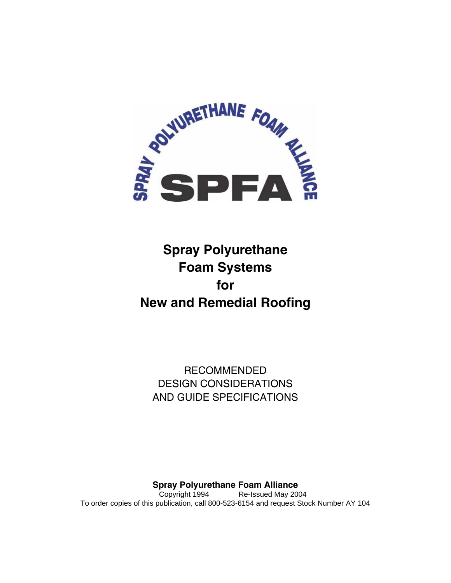

# **Spray Polyurethane Foam Systems for New and Remedial Roofing**

RECOMMENDED DESIGN CONSIDERATIONS AND GUIDE SPECIFICATIONS

**Spray Polyurethane Foam Alliance**  Copyright 1994 Re-Issued May 2004 To order copies of this publication, call 800-523-6154 and request Stock Number AY 104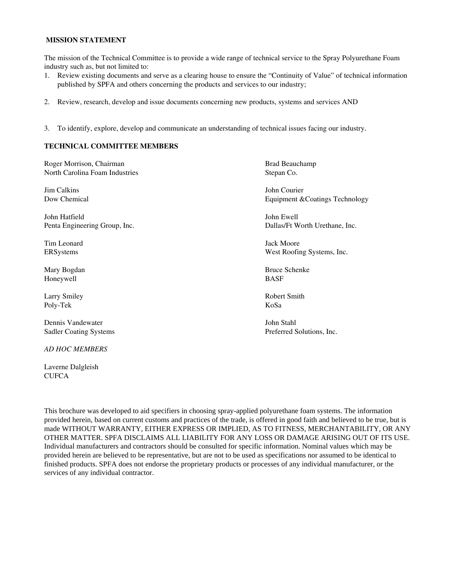#### **MISSION STATEMENT**

The mission of the Technical Committee is to provide a wide range of technical service to the Spray Polyurethane Foam industry such as, but not limited to:

- 1. Review existing documents and serve as a clearing house to ensure the "Continuity of Value" of technical information published by SPFA and others concerning the products and services to our industry;
- 2. Review, research, develop and issue documents concerning new products, systems and services AND
- 3. To identify, explore, develop and communicate an understanding of technical issues facing our industry.

#### **TECHNICAL COMMITTEE MEMBERS**

Roger Morrison, Chairman Brad Beauchamp Brad Beauchamp North Carolina Foam Industries Stepan Co. Jim Calkins John Courier Dow Chemical Equipment &Coatings Technology John Hatfield John Ewell Penta Engineering Group, Inc. Dallas/Ft Worth Urethane, Inc. Tim Leonard Jack Moore ERSystems West Roofing Systems, Inc. Mary Bogdan Bruce Schenke Honeywell BASF Larry Smiley **Robert Smith** Robert Smith Poly-Tek KoSa Dennis Vandewater John Stahl Sadler Coating Systems **Preferred Solutions**, Inc.

Laverne Dalgleish **CUFCA** 

*AD HOC MEMBERS* 

This brochure was developed to aid specifiers in choosing spray-applied polyurethane foam systems. The information provided herein, based on current customs and practices of the trade, is offered in good faith and believed to be true, but is made WITHOUT WARRANTY, EITHER EXPRESS OR IMPLIED, AS TO FITNESS, MERCHANTABILITY, OR ANY OTHER MATTER. SPFA DISCLAIMS ALL LIABILITY FOR ANY LOSS OR DAMAGE ARISING OUT OF ITS USE. Individual manufacturers and contractors should be consulted for specific information. Nominal values which may be provided herein are believed to be representative, but are not to be used as specifications nor assumed to be identical to finished products. SPFA does not endorse the proprietary products or processes of any individual manufacturer, or the services of any individual contractor.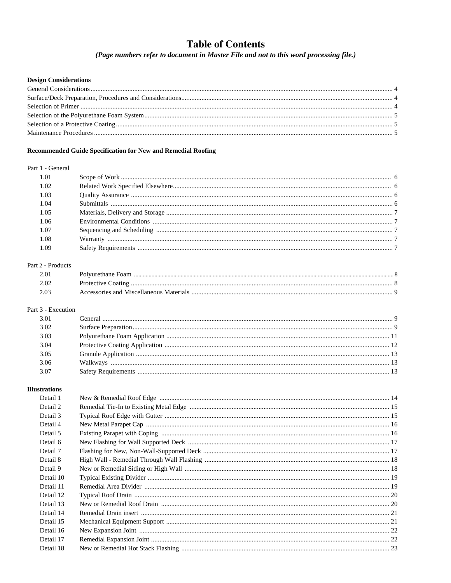## **Table of Contents**

(Page numbers refer to document in Master File and not to this word processing file.)

#### **Design Considerations**

#### Recommended Guide Specification for New and Remedial Roofing

#### Part 1 - General

| 1.02 |  |
|------|--|
| 1.03 |  |
| 1.04 |  |
| 1.05 |  |
| 1.06 |  |
| 1.07 |  |
| 1.08 |  |
| 1.09 |  |
|      |  |

#### Part 2 - Products

#### Part 3 - Execution

| 3.02 |  |
|------|--|
| 3.03 |  |
| 3.04 |  |
| 3.05 |  |
| 3.06 |  |
| 3.07 |  |

#### **Illustrations**

| Detail 1  |  |
|-----------|--|
| Detail 2  |  |
| Detail 3  |  |
| Detail 4  |  |
| Detail 5  |  |
| Detail 6  |  |
| Detail 7  |  |
| Detail 8  |  |
| Detail 9  |  |
| Detail 10 |  |
| Detail 11 |  |
| Detail 12 |  |
| Detail 13 |  |
| Detail 14 |  |
| Detail 15 |  |
| Detail 16 |  |
| Detail 17 |  |
| Detail 18 |  |
|           |  |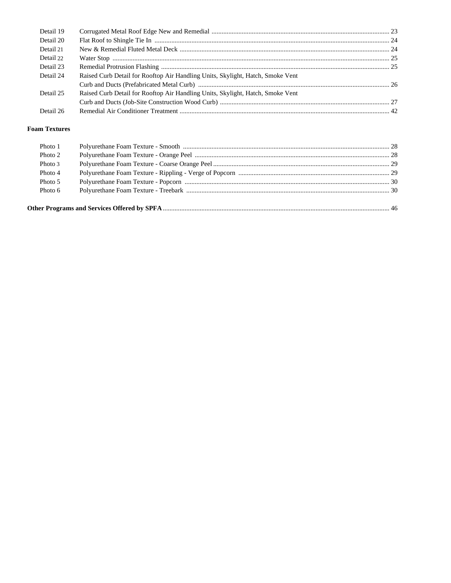| Detail 19 |                                                                                |  |
|-----------|--------------------------------------------------------------------------------|--|
| Detail 20 |                                                                                |  |
| Detail 21 |                                                                                |  |
| Detail 22 |                                                                                |  |
| Detail 23 |                                                                                |  |
| Detail 24 | Raised Curb Detail for Rooftop Air Handling Units, Skylight, Hatch, Smoke Vent |  |
|           |                                                                                |  |
| Detail 25 | Raised Curb Detail for Rooftop Air Handling Units, Skylight, Hatch, Smoke Vent |  |
|           |                                                                                |  |
| Detail 26 |                                                                                |  |

| Photo 1 |  |  |
|---------|--|--|
| Photo 2 |  |  |
| Photo 3 |  |  |
| Photo 4 |  |  |
| Photo 5 |  |  |
| Photo 6 |  |  |
|         |  |  |
|         |  |  |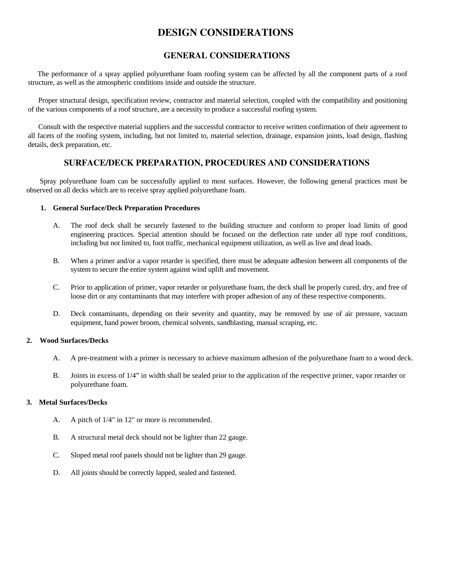## **DESIGN CONSIDERATIONS**

#### **GENERAL CONSIDERATIONS**

 The performance of a spray applied polyurethane foam roofing system can be affected by all the component parts of a roof structure, as well as the atmospheric conditions inside and outside the structure.

 Proper structural design, specification review, contractor and material selection, coupled with the compatibility and positioning of the various components of a roof structure, are a necessity to produce a successful roofing system.

 Consult with the respective material suppliers and the successful contractor to receive written confirmation of their agreement to all facets of the roofing system, including, but not limited to, material selection, drainage, expansion joints, load design, flashing details, deck preparation, etc.

### **SURFACE/DECK PREPARATION, PROCEDURES AND CONSIDERATIONS**

 Spray polyurethane foam can be successfully applied to most surfaces. However, the following general practices must be observed on all decks which are to receive spray applied polyurethane foam.

#### **1. General Surface/Deck Preparation Procedures**

- A. The roof deck shall be securely fastened to the building structure and conform to proper load limits of good engineering practices. Special attention should be focused on the deflection rate under all type roof conditions, including but not limited to, foot traffic, mechanical equipment utilization, as well as live and dead loads.
- B. When a primer and/or a vapor retarder is specified, there must be adequate adhesion between all components of the system to secure the entire system against wind uplift and movement.
- C. Prior to application of primer, vapor retarder or polyurethane foam, the deck shall be properly cured, dry, and free of loose dirt or any contaminants that may interfere with proper adhesion of any of these respective components.
- D. Deck contaminants, depending on their severity and quantity, may be removed by use of air pressure, vacuum equipment, hand power broom, chemical solvents, sandblasting, manual scraping, etc.

#### **2. Wood Surfaces/Decks**

- A. A pre-treatment with a primer is necessary to achieve maximum adhesion of the polyurethane foam to a wood deck.
- B. Joints in excess of 1/4" in width shall be sealed prior to the application of the respective primer, vapor retarder or polyurethane foam.

#### **3. Metal Surfaces/Decks**

- A. A pitch of 1/4" in 12" or more is recommended.
- B. A structural metal deck should not be lighter than 22 gauge.
- C. Sloped metal roof panels should not be lighter than 29 gauge.
- D. All joints should be correctly lapped, sealed and fastened.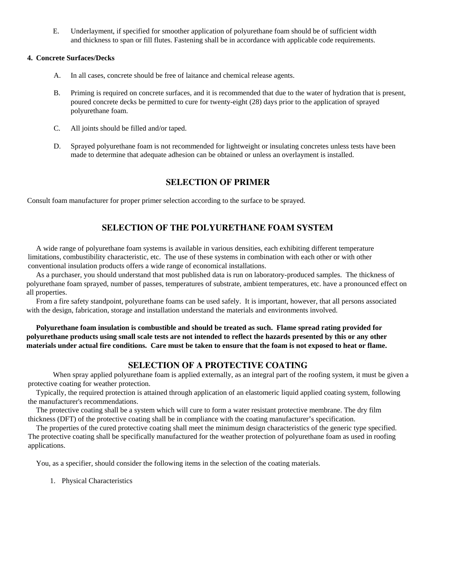E. Underlayment, if specified for smoother application of polyurethane foam should be of sufficient width and thickness to span or fill flutes. Fastening shall be in accordance with applicable code requirements.

#### **4. Concrete Surfaces/Decks**

- A. In all cases, concrete should be free of laitance and chemical release agents.
- B. Priming is required on concrete surfaces, and it is recommended that due to the water of hydration that is present, poured concrete decks be permitted to cure for twenty-eight (28) days prior to the application of sprayed polyurethane foam.
- C. All joints should be filled and/or taped.
- D. Sprayed polyurethane foam is not recommended for lightweight or insulating concretes unless tests have been made to determine that adequate adhesion can be obtained or unless an overlayment is installed.

## **SELECTION OF PRIMER**

Consult foam manufacturer for proper primer selection according to the surface to be sprayed.

## **SELECTION OF THE POLYURETHANE FOAM SYSTEM**

 A wide range of polyurethane foam systems is available in various densities, each exhibiting different temperature limitations, combustibility characteristic, etc. The use of these systems in combination with each other or with other conventional insulation products offers a wide range of economical installations.

 As a purchaser, you should understand that most published data is run on laboratory-produced samples. The thickness of polyurethane foam sprayed, number of passes, temperatures of substrate, ambient temperatures, etc. have a pronounced effect on all properties.

 From a fire safety standpoint, polyurethane foams can be used safely. It is important, however, that all persons associated with the design, fabrication, storage and installation understand the materials and environments involved.

 **Polyurethane foam insulation is combustible and should be treated as such. Flame spread rating provided for polyurethane products using small scale tests are not intended to reflect the hazards presented by this or any other materials under actual fire conditions. Care must be taken to ensure that the foam is not exposed to heat or flame.** 

#### **SELECTION OF A PROTECTIVE COATING**

 When spray applied polyurethane foam is applied externally, as an integral part of the roofing system, it must be given a protective coating for weather protection.

 Typically, the required protection is attained through application of an elastomeric liquid applied coating system, following the manufacturer's recommendations.

 The protective coating shall be a system which will cure to form a water resistant protective membrane. The dry film thickness (DFT) of the protective coating shall be in compliance with the coating manufacturer's specification.

 The properties of the cured protective coating shall meet the minimum design characteristics of the generic type specified. The protective coating shall be specifically manufactured for the weather protection of polyurethane foam as used in roofing applications.

You, as a specifier, should consider the following items in the selection of the coating materials.

1. Physical Characteristics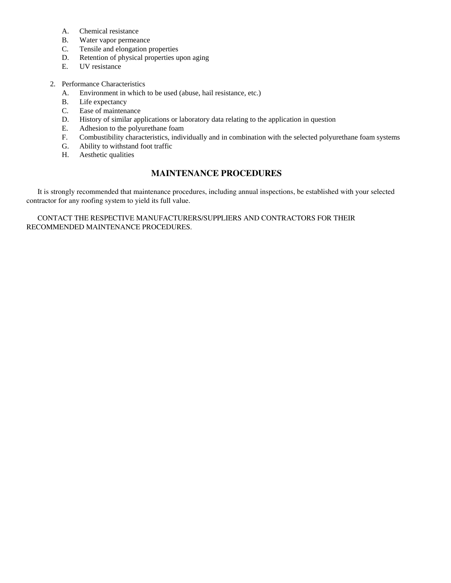- A. Chemical resistance
- B. Water vapor permeance
- C. Tensile and elongation properties
- D. Retention of physical properties upon aging
- E. UV resistance
- 2. Performance Characteristics
	- A. Environment in which to be used (abuse, hail resistance, etc.)
	- B. Life expectancy
	- C. Ease of maintenance
	- D. History of similar applications or laboratory data relating to the application in question
	- E. Adhesion to the polyurethane foam
	- F. Combustibility characteristics, individually and in combination with the selected polyurethane foam systems
	- G. Ability to withstand foot traffic
	- H. Aesthetic qualities

## **MAINTENANCE PROCEDURES**

 It is strongly recommended that maintenance procedures, including annual inspections, be established with your selected contractor for any roofing system to yield its full value.

 CONTACT THE RESPECTIVE MANUFACTURERS/SUPPLIERS AND CONTRACTORS FOR THEIR RECOMMENDED MAINTENANCE PROCEDURES.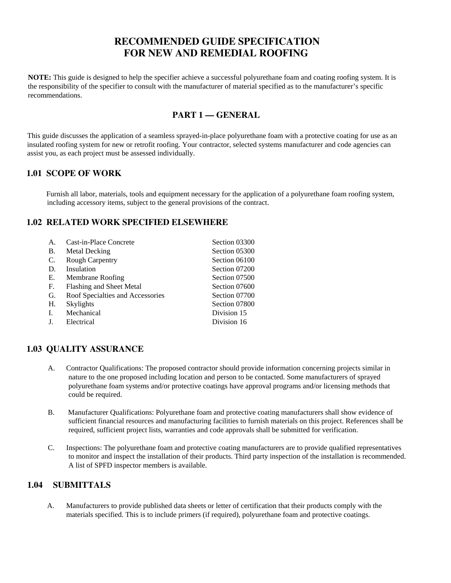## **RECOMMENDED GUIDE SPECIFICATION FOR NEW AND REMEDIAL ROOFING**

**NOTE:** This guide is designed to help the specifier achieve a successful polyurethane foam and coating roofing system. It is the responsibility of the specifier to consult with the manufacturer of material specified as to the manufacturer's specific recommendations.

## **PART 1 — GENERAL**

This guide discusses the application of a seamless sprayed-in-place polyurethane foam with a protective coating for use as an insulated roofing system for new or retrofit roofing. Your contractor, selected systems manufacturer and code agencies can assist you, as each project must be assessed individually.

### **1.01 SCOPE OF WORK**

 Furnish all labor, materials, tools and equipment necessary for the application of a polyurethane foam roofing system, including accessory items, subject to the general provisions of the contract.

## **1.02 RELATED WORK SPECIFIED ELSEWHERE**

| $\mathsf{A}$ | Cast-in-Place Concrete           | Section 03300 |
|--------------|----------------------------------|---------------|
| <b>B.</b>    | Metal Decking                    | Section 05300 |
| C.           | <b>Rough Carpentry</b>           | Section 06100 |
| D.           | Insulation                       | Section 07200 |
| Е.           | Membrane Roofing                 | Section 07500 |
| F.           | Flashing and Sheet Metal         | Section 07600 |
| G.           | Roof Specialties and Accessories | Section 07700 |
| H.           | Skylights                        | Section 07800 |
| I.           | Mechanical                       | Division 15   |
|              | Electrical                       | Division 16   |

## **1.03 QUALITY ASSURANCE**

- A. Contractor Qualifications: The proposed contractor should provide information concerning projects similar in nature to the one proposed including location and person to be contacted. Some manufacturers of sprayed polyurethane foam systems and/or protective coatings have approval programs and/or licensing methods that could be required.
- B. Manufacturer Qualifications: Polyurethane foam and protective coating manufacturers shall show evidence of sufficient financial resources and manufacturing facilities to furnish materials on this project. References shall be required, sufficient project lists, warranties and code approvals shall be submitted for verification.
- C. Inspections: The polyurethane foam and protective coating manufacturers are to provide qualified representatives to monitor and inspect the installation of their products. Third party inspection of the installation is recommended. A list of SPFD inspector members is available.

## **1.04 SUBMITTALS**

A. Manufacturers to provide published data sheets or letter of certification that their products comply with the materials specified. This is to include primers (if required), polyurethane foam and protective coatings.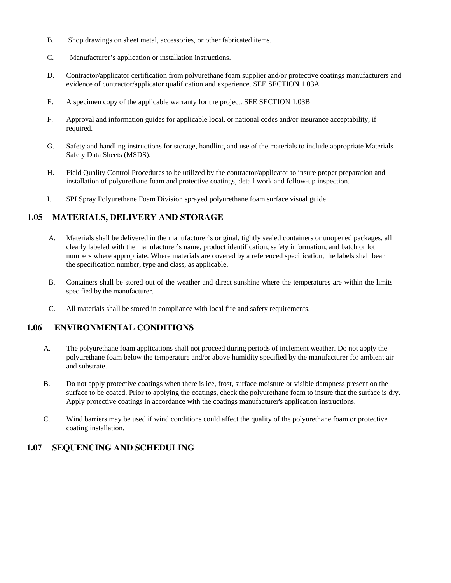- B. Shop drawings on sheet metal, accessories, or other fabricated items.
- C. Manufacturer's application or installation instructions.
- D. Contractor/applicator certification from polyurethane foam supplier and/or protective coatings manufacturers and evidence of contractor/applicator qualification and experience. SEE SECTION 1.03A
- E. A specimen copy of the applicable warranty for the project. SEE SECTION 1.03B
- F. Approval and information guides for applicable local, or national codes and/or insurance acceptability, if required.
- G. Safety and handling instructions for storage, handling and use of the materials to include appropriate Materials Safety Data Sheets (MSDS).
- H. Field Quality Control Procedures to be utilized by the contractor/applicator to insure proper preparation and installation of polyurethane foam and protective coatings, detail work and follow-up inspection.
- I. SPI Spray Polyurethane Foam Division sprayed polyurethane foam surface visual guide.

## **1.05 MATERIALS, DELIVERY AND STORAGE**

- A. Materials shall be delivered in the manufacturer's original, tightly sealed containers or unopened packages, all clearly labeled with the manufacturer's name, product identification, safety information, and batch or lot numbers where appropriate. Where materials are covered by a referenced specification, the labels shall bear the specification number, type and class, as applicable.
- B. Containers shall be stored out of the weather and direct sunshine where the temperatures are within the limits specified by the manufacturer.
- C. All materials shall be stored in compliance with local fire and safety requirements.

### **1.06 ENVIRONMENTAL CONDITIONS**

- A. The polyurethane foam applications shall not proceed during periods of inclement weather. Do not apply the polyurethane foam below the temperature and/or above humidity specified by the manufacturer for ambient air and substrate.
- B. Do not apply protective coatings when there is ice, frost, surface moisture or visible dampness present on the surface to be coated. Prior to applying the coatings, check the polyurethane foam to insure that the surface is dry. Apply protective coatings in accordance with the coatings manufacturer's application instructions.
- C. Wind barriers may be used if wind conditions could affect the quality of the polyurethane foam or protective coating installation.

## **1.07 SEQUENCING AND SCHEDULING**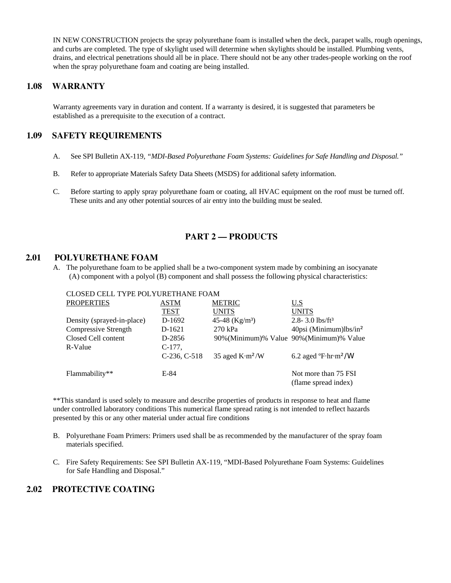IN NEW CONSTRUCTION projects the spray polyurethane foam is installed when the deck, parapet walls, rough openings, and curbs are completed. The type of skylight used will determine when skylights should be installed. Plumbing vents, drains, and electrical penetrations should all be in place. There should not be any other trades-people working on the roof when the spray polyurethane foam and coating are being installed.

## **1.08 WARRANTY**

Warranty agreements vary in duration and content. If a warranty is desired, it is suggested that parameters be established as a prerequisite to the execution of a contract.

## **1.09 SAFETY REQUIREMENTS**

- A. See SPI Bulletin AX-119, *"MDI-Based Polyurethane Foam Systems: Guidelines for Safe Handling and Disposal."*
- B. Refer to appropriate Materials Safety Data Sheets (MSDS) for additional safety information.
- C. Before starting to apply spray polyurethane foam or coating, all HVAC equipment on the roof must be turned off. These units and any other potential sources of air entry into the building must be sealed.

## **PART 2 — PRODUCTS**

#### **2.01 POLYURETHANE FOAM**

A. The polyurethane foam to be applied shall be a two-component system made by combining an isocyanate (A) component with a polyol (B) component and shall possess the following physical characteristics:

#### CLOSED CELL TYPE POLYURETHANE FOAM

| <b>PROPERTIES</b>          | <b>ASTM</b>    | <b>METRIC</b>      | U.S                                                           |
|----------------------------|----------------|--------------------|---------------------------------------------------------------|
|                            | <b>TEST</b>    | <b>UNITS</b>       | <b>UNITS</b>                                                  |
| Density (sprayed-in-place) | D-1692         | 45-48 ( $Kg/m^3$ ) | 2.8-3.0 lbs/ft <sup>3</sup>                                   |
| Compressive Strength       | D-1621         | 270 kPa            | $40$ psi (Minimum) $lbs/in2$                                  |
| Closed Cell content        | D-2856         |                    | 90% (Minimum)% Value 90% (Minimum)% Value                     |
| R-Value                    | $C-177$ .      |                    |                                                               |
|                            | $C-236, C-518$ | 35 aged $K·m²/W$   | $6.2$ aged $\textdegree$ F $\cdot$ hr $\cdot$ m $\frac{2}{W}$ |
| Flammability**             | E-84           |                    | Not more than 75 FSI                                          |
|                            |                |                    | (flame spread index)                                          |

\*\*This standard is used solely to measure and describe properties of products in response to heat and flame under controlled laboratory conditions This numerical flame spread rating is not intended to reflect hazards presented by this or any other material under actual fire conditions

- B. Polyurethane Foam Primers: Primers used shall be as recommended by the manufacturer of the spray foam materials specified.
- C. Fire Safety Requirements: See SPI Bulletin AX-119, "MDI-Based Polyurethane Foam Systems: Guidelines for Safe Handling and Disposal."

#### **2.02 PROTECTIVE COATING**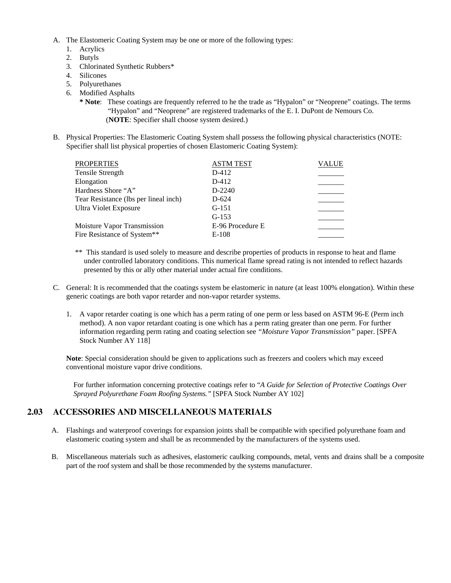- A. The Elastomeric Coating System may be one or more of the following types:
	- 1. Acrylics
	- 2. Butyls
	- 3. Chlorinated Synthetic Rubbers\*
	- 4. Silicones
	- 5. Polyurethanes
	- 6. Modified Asphalts
		- **\* Note**: These coatings are frequently referred to he the trade as "Hypalon" or "Neoprene" coatings. The terms "Hypalon" and "Neoprene" are registered trademarks of the E. I. DuPont de Nemours Co. (**NOTE**: Specifier shall choose system desired.)
- B. Physical Properties: The Elastomeric Coating System shall possess the following physical characteristics (NOTE: Specifier shall list physical properties of chosen Elastomeric Coating System):

| <b>PROPERTIES</b>                     | <b>ASTM TEST</b> | <b>VALUE</b> |
|---------------------------------------|------------------|--------------|
| Tensile Strength                      | D-412            |              |
| Elongation                            | D-412            |              |
| Hardness Shore "A"                    | D-2240           |              |
| Tear Resistance (lbs per lineal inch) | $D-624$          |              |
| Ultra Violet Exposure                 | $G-151$          |              |
|                                       | $G-153$          |              |
| Moisture Vapor Transmission           | E-96 Procedure E |              |
| Fire Resistance of System**           | $E-108$          |              |
|                                       |                  |              |

- \*\* This standard is used solely to measure and describe properties of products in response to heat and flame under controlled laboratory conditions. This numerical flame spread rating is not intended to reflect hazards presented by this or ally other material under actual fire conditions.
- C. General: It is recommended that the coatings system be elastomeric in nature (at least 100% elongation). Within these generic coatings are both vapor retarder and non-vapor retarder systems.
	- 1. A vapor retarder coating is one which has a perm rating of one perm or less based on ASTM 96-E (Perm inch method). A non vapor retardant coating is one which has a perm rating greater than one perm. For further information regarding perm rating and coating selection see *"Moisture Vapor Transmission"* paper. [SPFA Stock Number AY 118]

**Note**: Special consideration should be given to applications such as freezers and coolers which may exceed conventional moisture vapor drive conditions.

For further information concerning protective coatings refer to "*A Guide for Selection of Protective Coatings Over Sprayed Polyurethane Foam Roofing Systems."* [SPFA Stock Number AY 102]

## **2.03 ACCESSORIES AND MISCELLANEOUS MATERIALS**

- A. Flashings and waterproof coverings for expansion joints shall be compatible with specified polyurethane foam and elastomeric coating system and shall be as recommended by the manufacturers of the systems used.
- B. Miscellaneous materials such as adhesives, elastomeric caulking compounds, metal, vents and drains shall be a composite part of the roof system and shall be those recommended by the systems manufacturer.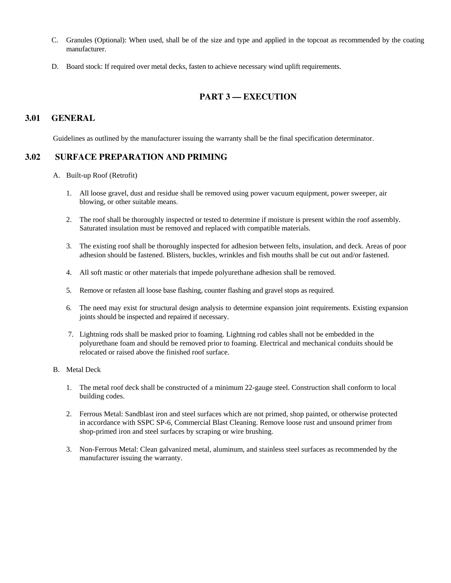- C. Granules (Optional): When used, shall be of the size and type and applied in the topcoat as recommended by the coating manufacturer.
- D. Board stock: If required over metal decks, fasten to achieve necessary wind uplift requirements.

## **PART 3 — EXECUTION**

## **3.01 GENERAL**

Guidelines as outlined by the manufacturer issuing the warranty shall be the final specification determinator.

#### **3.02 SURFACE PREPARATION AND PRIMING**

- A. Built-up Roof (Retrofit)
	- 1. All loose gravel, dust and residue shall be removed using power vacuum equipment, power sweeper, air blowing, or other suitable means.
	- 2. The roof shall be thoroughly inspected or tested to determine if moisture is present within the roof assembly. Saturated insulation must be removed and replaced with compatible materials.
	- 3. The existing roof shall be thoroughly inspected for adhesion between felts, insulation, and deck. Areas of poor adhesion should be fastened. Blisters, buckles, wrinkles and fish mouths shall be cut out and/or fastened.
	- 4. All soft mastic or other materials that impede polyurethane adhesion shall be removed.
	- 5. Remove or refasten all loose base flashing, counter flashing and gravel stops as required.
	- 6. The need may exist for structural design analysis to determine expansion joint requirements. Existing expansion joints should be inspected and repaired if necessary.
	- 7. Lightning rods shall be masked prior to foaming. Lightning rod cables shall not be embedded in the polyurethane foam and should be removed prior to foaming. Electrical and mechanical conduits should be relocated or raised above the finished roof surface.
- B. Metal Deck
	- 1. The metal roof deck shall be constructed of a minimum 22-gauge steel. Construction shall conform to local building codes.
	- 2. Ferrous Metal: Sandblast iron and steel surfaces which are not primed, shop painted, or otherwise protected in accordance with SSPC SP-6, Commercial Blast Cleaning. Remove loose rust and unsound primer from shop-primed iron and steel surfaces by scraping or wire brushing.
	- 3. Non-Ferrous Metal: Clean galvanized metal, aluminum, and stainless steel surfaces as recommended by the manufacturer issuing the warranty.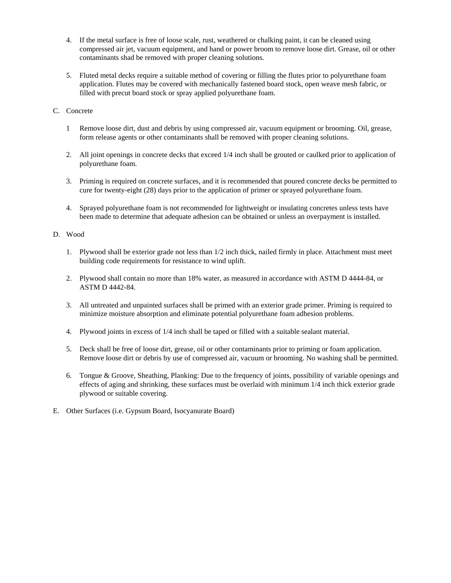- 4. If the metal surface is free of loose scale, rust, weathered or chalking paint, it can be cleaned using compressed air jet, vacuum equipment, and hand or power broom to remove loose dirt. Grease, oil or other contaminants shad be removed with proper cleaning solutions.
- 5. Fluted metal decks require a suitable method of covering or filling the flutes prior to polyurethane foam application. Flutes may be covered with mechanically fastened board stock, open weave mesh fabric, or filled with precut board stock or spray applied polyurethane foam.

#### C. Concrete

- 1 Remove loose dirt, dust and debris by using compressed air, vacuum equipment or brooming. Oil, grease, form release agents or other contaminants shall be removed with proper cleaning solutions.
- 2. All joint openings in concrete decks that exceed 1/4 inch shall be grouted or caulked prior to application of polyurethane foam.
- 3. Priming is required on concrete surfaces, and it is recommended that poured concrete decks be permitted to cure for twenty-eight (28) days prior to the application of primer or sprayed polyurethane foam.
- 4. Sprayed polyurethane foam is not recommended for lightweight or insulating concretes unless tests have been made to determine that adequate adhesion can be obtained or unless an overpayment is installed.

#### D. Wood

- 1. Plywood shall be exterior grade not less than 1/2 inch thick, nailed firmly in place. Attachment must meet building code requirements for resistance to wind uplift.
- 2. Plywood shall contain no more than 18% water, as measured in accordance with ASTM D 4444-84, or ASTM D 4442-84.
- 3. All untreated and unpainted surfaces shall be primed with an exterior grade primer. Priming is required to minimize moisture absorption and eliminate potential polyurethane foam adhesion problems.
- 4. Plywood joints in excess of 1/4 inch shall be taped or filled with a suitable sealant material.
- 5. Deck shall be free of loose dirt, grease, oil or other contaminants prior to priming or foam application. Remove loose dirt or debris by use of compressed air, vacuum or brooming. No washing shall be permitted.
- 6. Tongue & Groove, Sheathing, Planking: Due to the frequency of joints, possibility of variable openings and effects of aging and shrinking, these surfaces must be overlaid with minimum 1/4 inch thick exterior grade plywood or suitable covering.
- E. Other Surfaces (i.e. Gypsum Board, Isocyanurate Board)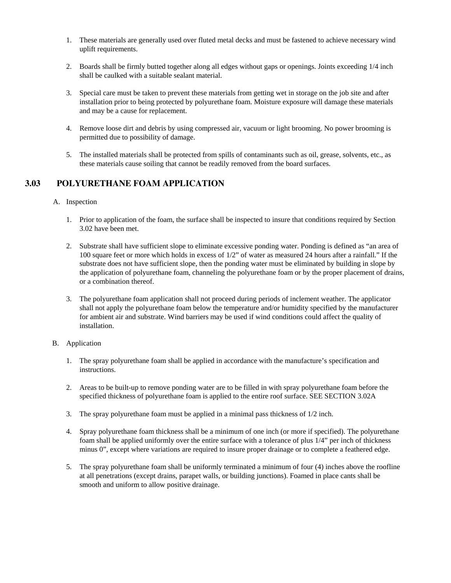- 1. These materials are generally used over fluted metal decks and must be fastened to achieve necessary wind uplift requirements.
- 2. Boards shall be firmly butted together along all edges without gaps or openings. Joints exceeding 1/4 inch shall be caulked with a suitable sealant material.
- 3. Special care must be taken to prevent these materials from getting wet in storage on the job site and after installation prior to being protected by polyurethane foam. Moisture exposure will damage these materials and may be a cause for replacement.
- 4. Remove loose dirt and debris by using compressed air, vacuum or light brooming. No power brooming is permitted due to possibility of damage.
- 5. The installed materials shall be protected from spills of contaminants such as oil, grease, solvents, etc., as these materials cause soiling that cannot be readily removed from the board surfaces.

## **3.03 POLYURETHANE FOAM APPLICATION**

#### A. Inspection

- 1. Prior to application of the foam, the surface shall be inspected to insure that conditions required by Section 3.02 have been met.
- 2. Substrate shall have sufficient slope to eliminate excessive ponding water. Ponding is defined as "an area of 100 square feet or more which holds in excess of 1/2" of water as measured 24 hours after a rainfall." If the substrate does not have sufficient slope, then the ponding water must be eliminated by building in slope by the application of polyurethane foam, channeling the polyurethane foam or by the proper placement of drains, or a combination thereof.
- 3. The polyurethane foam application shall not proceed during periods of inclement weather. The applicator shall not apply the polyurethane foam below the temperature and/or humidity specified by the manufacturer for ambient air and substrate. Wind barriers may be used if wind conditions could affect the quality of installation.

#### B. Application

- 1. The spray polyurethane foam shall be applied in accordance with the manufacture's specification and instructions.
- 2. Areas to be built-up to remove ponding water are to be filled in with spray polyurethane foam before the specified thickness of polyurethane foam is applied to the entire roof surface. SEE SECTION 3.02A
- 3. The spray polyurethane foam must be applied in a minimal pass thickness of 1/2 inch.
- 4. Spray polyurethane foam thickness shall be a minimum of one inch (or more if specified). The polyurethane foam shall be applied uniformly over the entire surface with a tolerance of plus 1/4" per inch of thickness minus 0", except where variations are required to insure proper drainage or to complete a feathered edge.
- 5. The spray polyurethane foam shall be uniformly terminated a minimum of four (4) inches above the roofline at all penetrations (except drains, parapet walls, or building junctions). Foamed in place cants shall be smooth and uniform to allow positive drainage.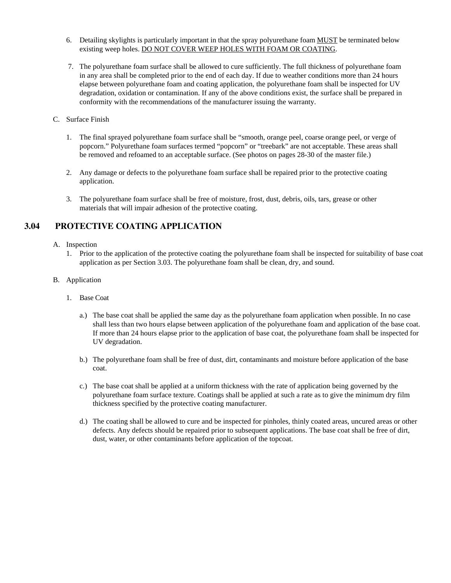- 6. Detailing skylights is particularly important in that the spray polyurethane foam MUST be terminated below existing weep holes. DO NOT COVER WEEP HOLES WITH FOAM OR COATING.
- 7. The polyurethane foam surface shall be allowed to cure sufficiently. The full thickness of polyurethane foam in any area shall be completed prior to the end of each day. If due to weather conditions more than 24 hours elapse between polyurethane foam and coating application, the polyurethane foam shall be inspected for UV degradation, oxidation or contamination. If any of the above conditions exist, the surface shall be prepared in conformity with the recommendations of the manufacturer issuing the warranty.
- C. Surface Finish
	- 1. The final sprayed polyurethane foam surface shall be "smooth, orange peel, coarse orange peel, or verge of popcorn." Polyurethane foam surfaces termed "popcorn" or "treebark" are not acceptable. These areas shall be removed and refoamed to an acceptable surface. (See photos on pages 28-30 of the master file.)
	- 2. Any damage or defects to the polyurethane foam surface shall be repaired prior to the protective coating application.
	- 3. The polyurethane foam surface shall be free of moisture, frost, dust, debris, oils, tars, grease or other materials that will impair adhesion of the protective coating.

## **3.04 PROTECTIVE COATING APPLICATION**

- A. Inspection
	- 1. Prior to the application of the protective coating the polyurethane foam shall be inspected for suitability of base coat application as per Section 3.03. The polyurethane foam shall be clean, dry, and sound.
- B. Application
	- 1. Base Coat
		- a.) The base coat shall be applied the same day as the polyurethane foam application when possible. In no case shall less than two hours elapse between application of the polyurethane foam and application of the base coat. If more than 24 hours elapse prior to the application of base coat, the polyurethane foam shall be inspected for UV degradation.
		- b.) The polyurethane foam shall be free of dust, dirt, contaminants and moisture before application of the base coat.
		- c.) The base coat shall be applied at a uniform thickness with the rate of application being governed by the polyurethane foam surface texture. Coatings shall be applied at such a rate as to give the minimum dry film thickness specified by the protective coating manufacturer.
		- d.) The coating shall be allowed to cure and be inspected for pinholes, thinly coated areas, uncured areas or other defects. Any defects should be repaired prior to subsequent applications. The base coat shall be free of dirt, dust, water, or other contaminants before application of the topcoat.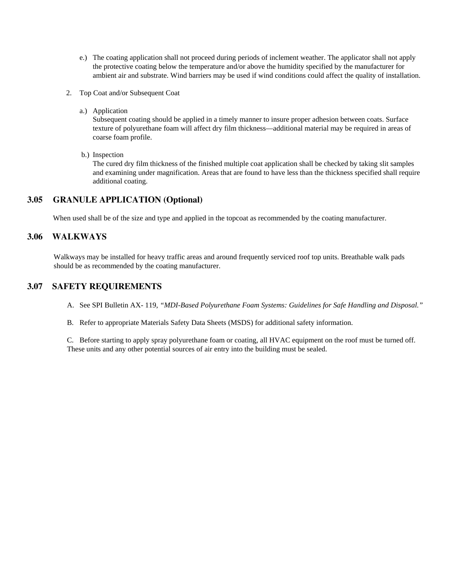- e.) The coating application shall not proceed during periods of inclement weather. The applicator shall not apply the protective coating below the temperature and/or above the humidity specified by the manufacturer for ambient air and substrate. Wind barriers may be used if wind conditions could affect the quality of installation.
- 2. Top Coat and/or Subsequent Coat
	- a.) Application

 Subsequent coating should be applied in a timely manner to insure proper adhesion between coats. Surface texture of polyurethane foam will affect dry film thickness—additional material may be required in areas of coarse foam profile.

b.) Inspection

 The cured dry film thickness of the finished multiple coat application shall be checked by taking slit samples and examining under magnification. Areas that are found to have less than the thickness specified shall require additional coating.

### **3.05 GRANULE APPLICATION (Optional)**

When used shall be of the size and type and applied in the topcoat as recommended by the coating manufacturer.

### **3.06 WALKWAYS**

Walkways may be installed for heavy traffic areas and around frequently serviced roof top units. Breathable walk pads should be as recommended by the coating manufacturer.

#### **3.07 SAFETY REQUIREMENTS**

- A. See SPI Bulletin AX- 119, *"MDI-Based Polyurethane Foam Systems: Guidelines for Safe Handling and Disposal."*
- B. Refer to appropriate Materials Safety Data Sheets (MSDS) for additional safety information.

C. Before starting to apply spray polyurethane foam or coating, all HVAC equipment on the roof must be turned off. These units and any other potential sources of air entry into the building must be sealed.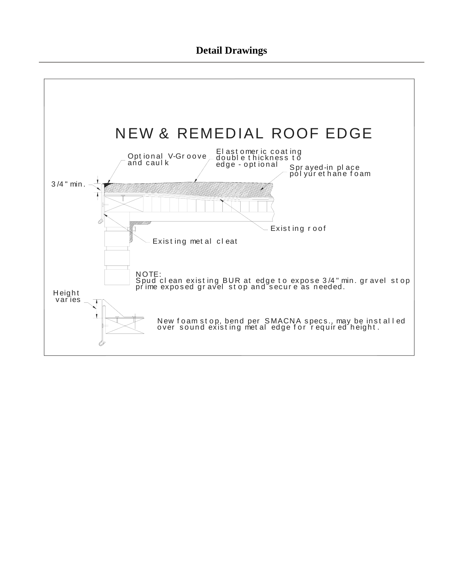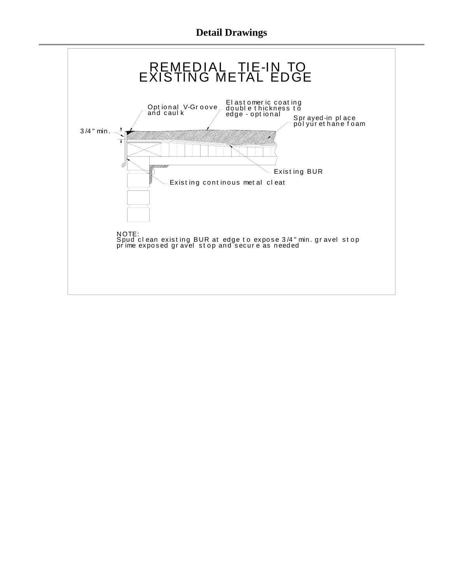

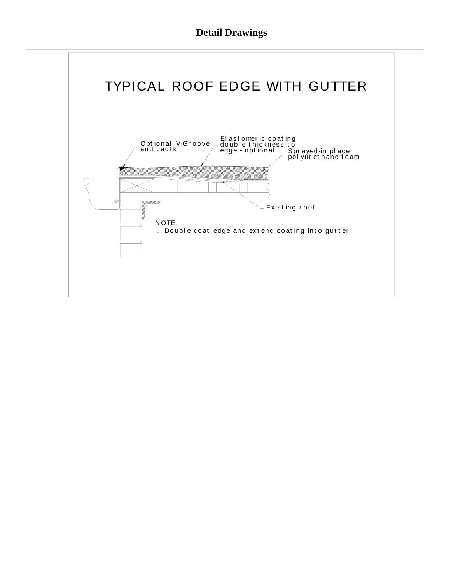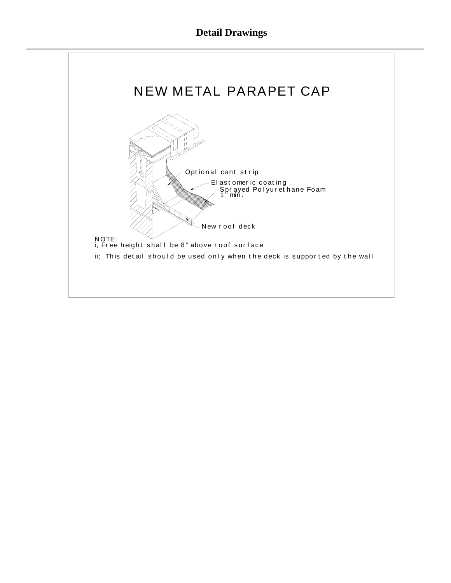## **Detail Drawings**

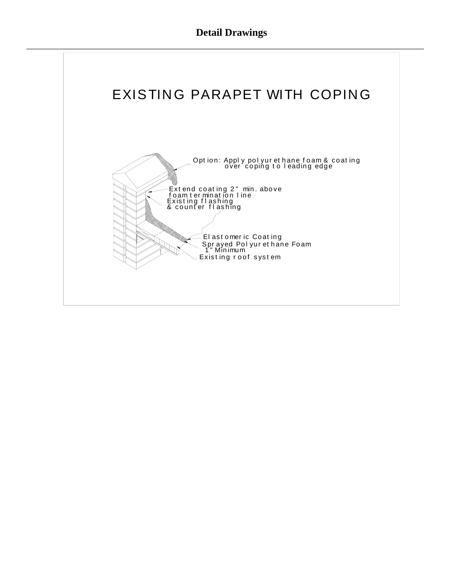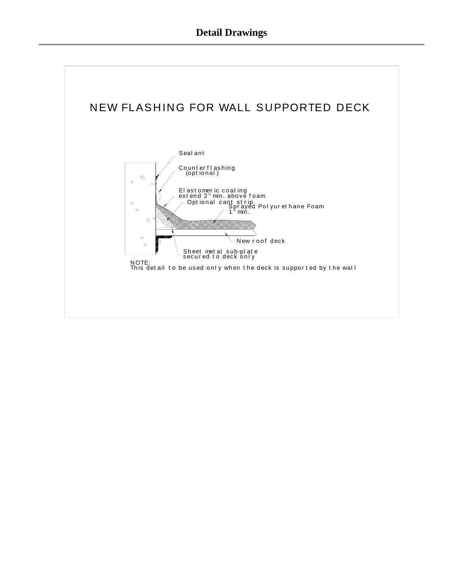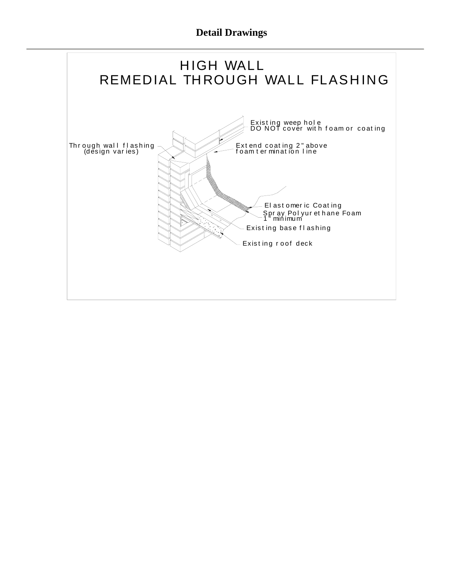**Detail Drawings** 

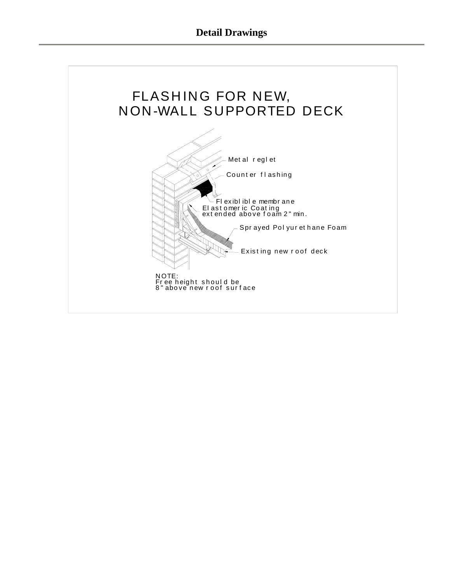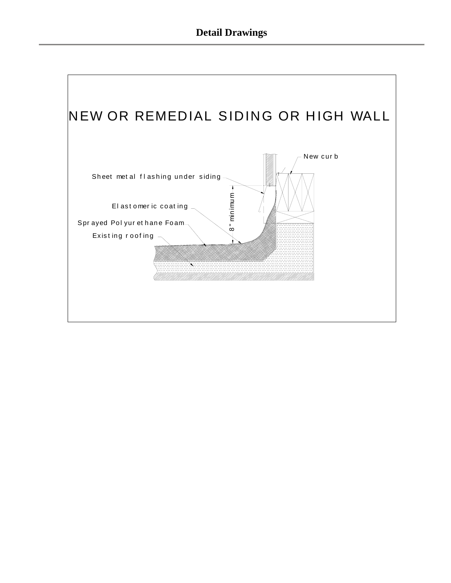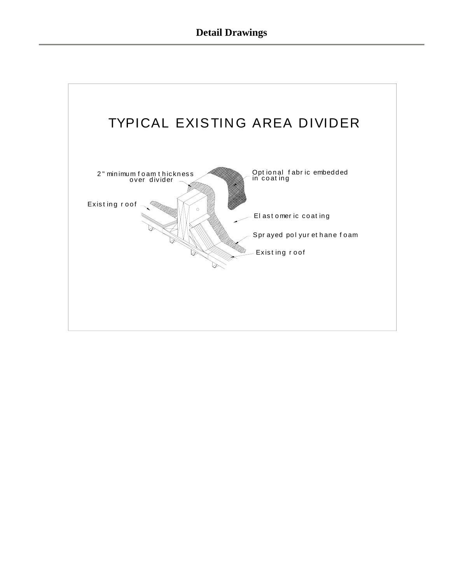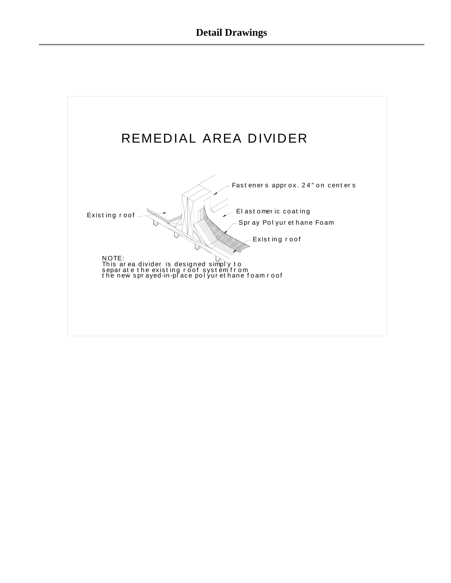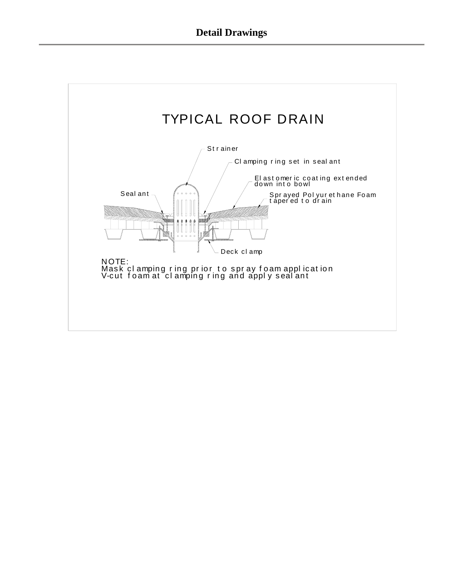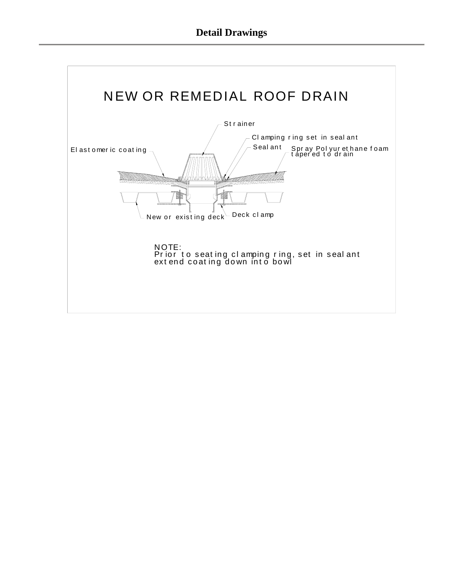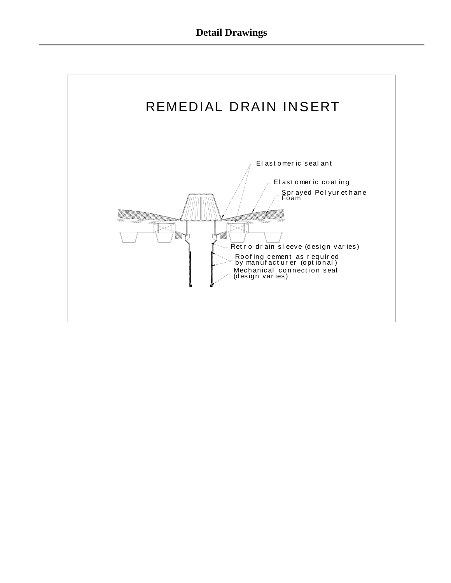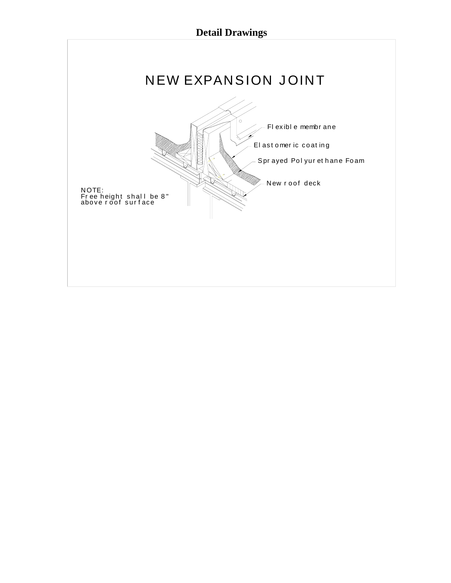## **Detail Drawings**

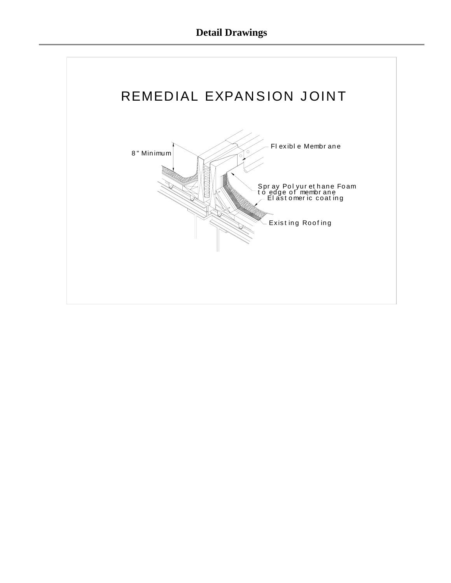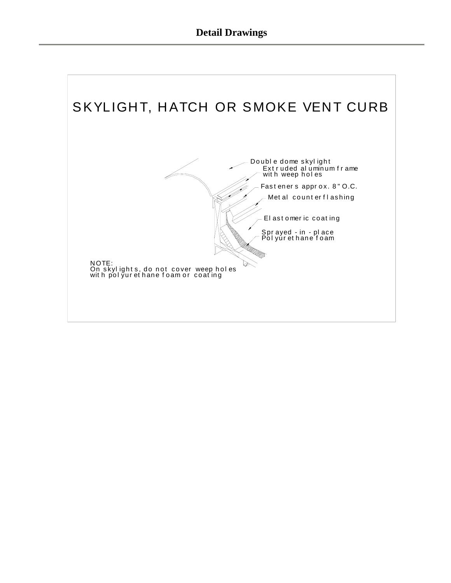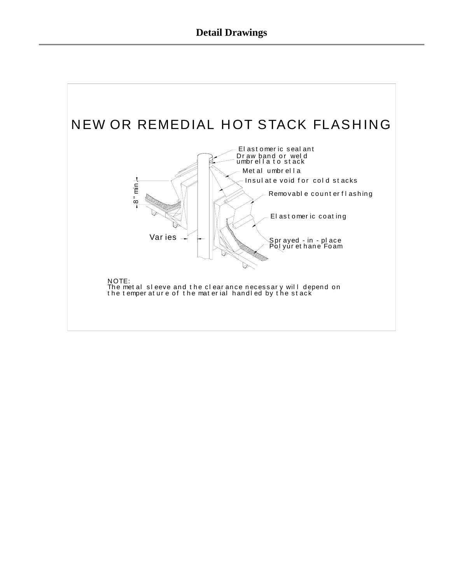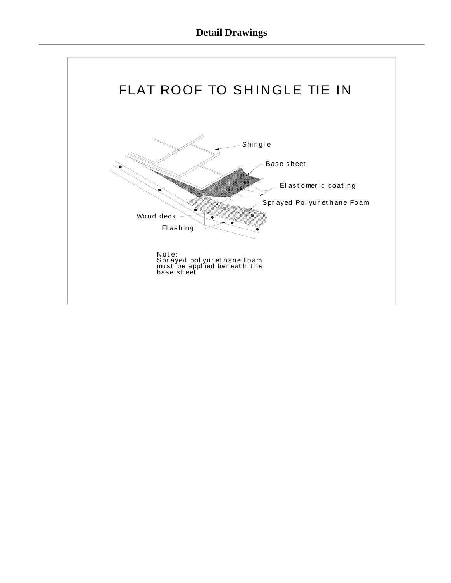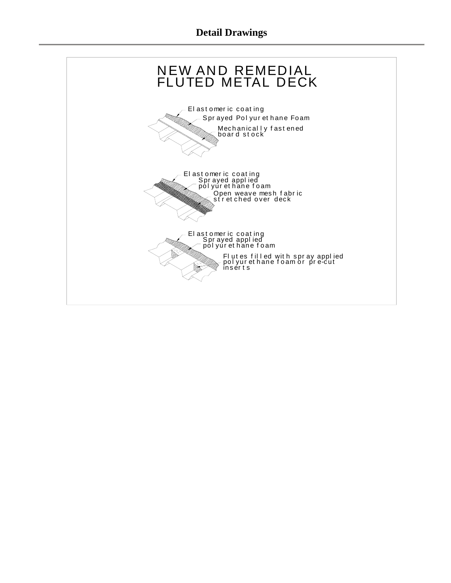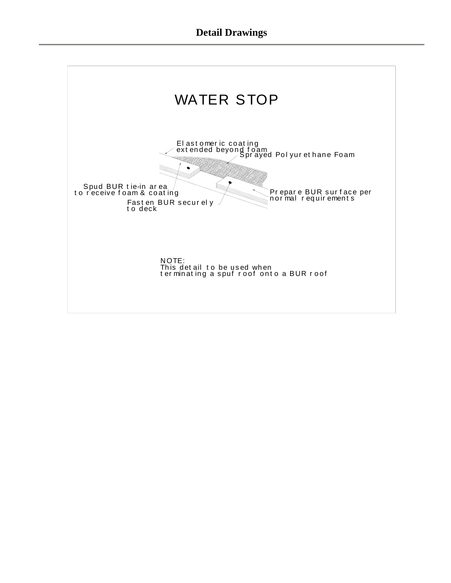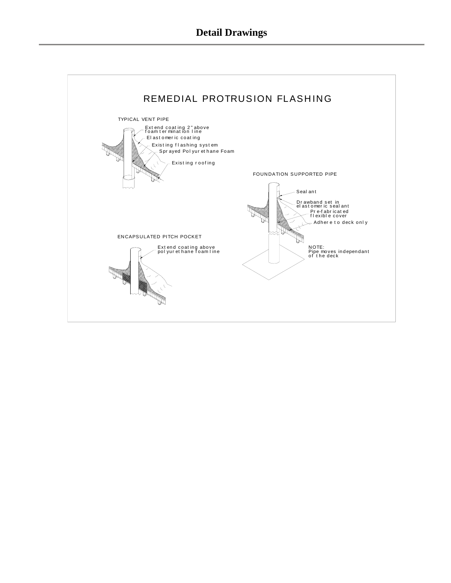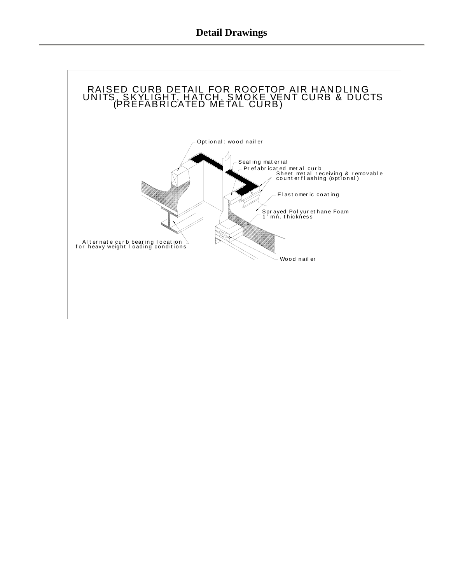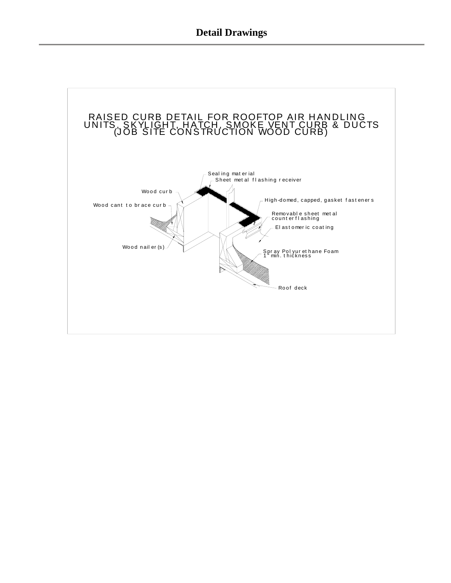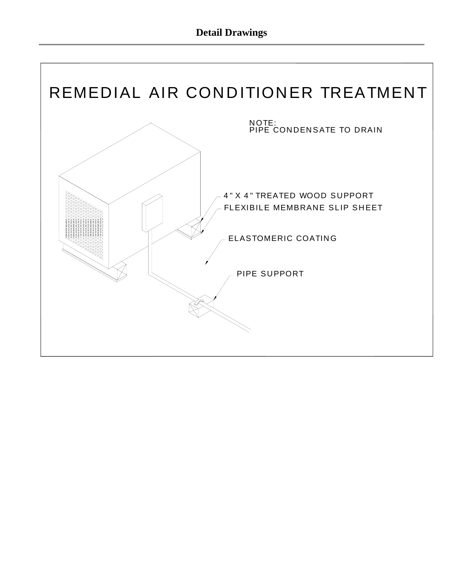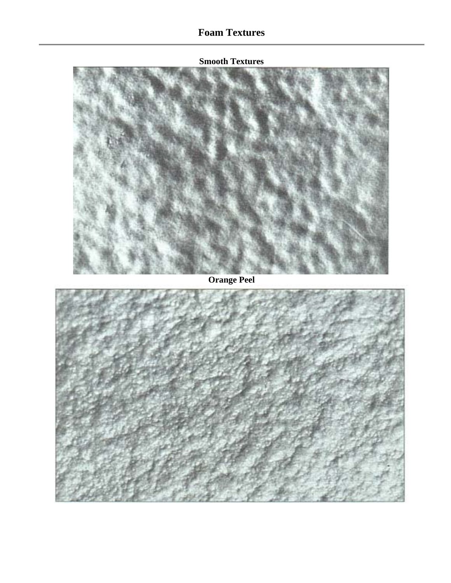**Smooth Textures** 

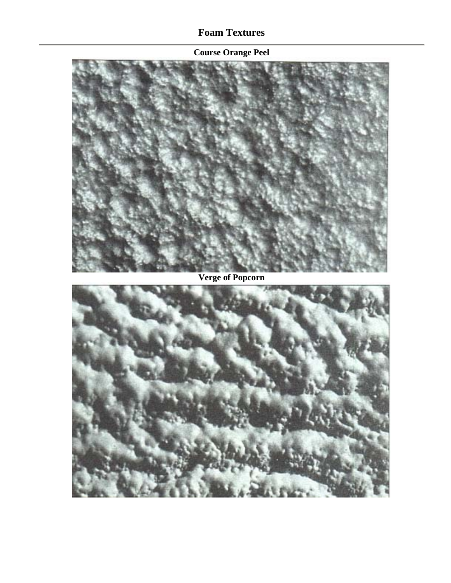## **Course Orange Peel**

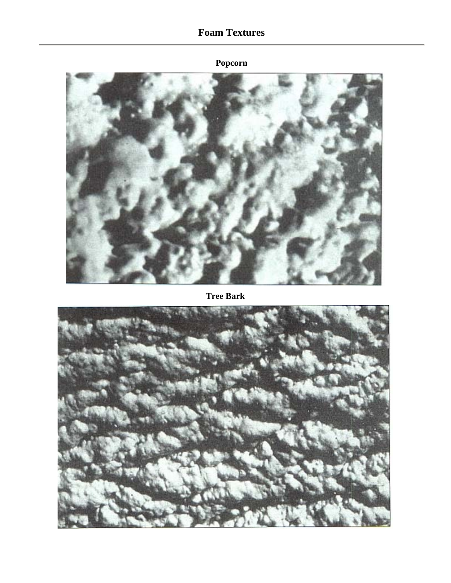## **Popcorn**



**Tree Bark**